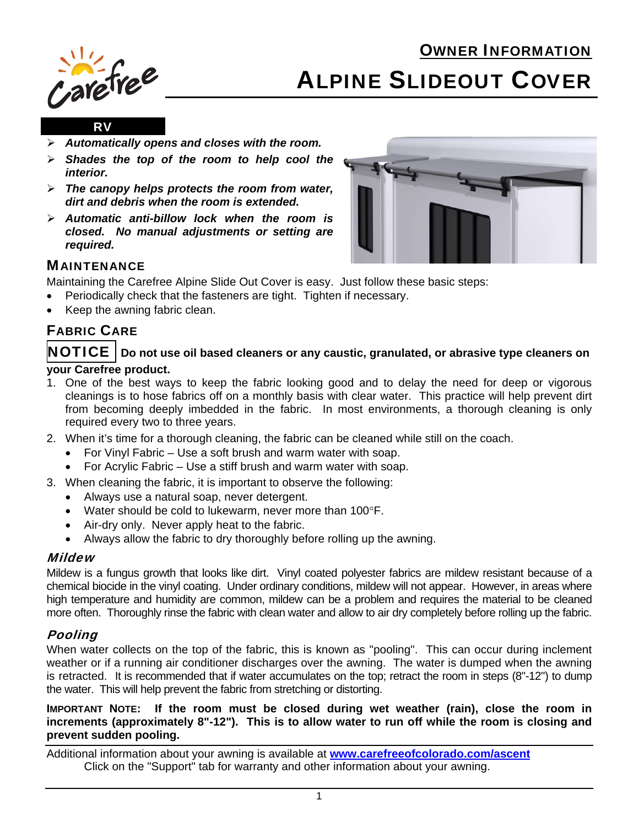# OWNER INFORMATION



# ALPINE SLIDEOUT COVER

#### RV

- *Automatically opens and closes with the room.*
- *Shades the top of the room to help cool the interior.*
- *The canopy helps protects the room from water, dirt and debris when the room is extended.*
- *Automatic anti-billow lock when the room is closed. No manual adjustments or setting are required.*



## **MAINTENANCE**

Maintaining the Carefree Alpine Slide Out Cover is easy. Just follow these basic steps:

- Periodically check that the fasteners are tight. Tighten if necessary.
- Keep the awning fabric clean.

# FABRIC CARE

#### NOTICE **Do not use oil based cleaners or any caustic, granulated, or abrasive type cleaners on your Carefree product.**

- 1. One of the best ways to keep the fabric looking good and to delay the need for deep or vigorous cleanings is to hose fabrics off on a monthly basis with clear water. This practice will help prevent dirt from becoming deeply imbedded in the fabric. In most environments, a thorough cleaning is only required every two to three years.
- 2. When it's time for a thorough cleaning, the fabric can be cleaned while still on the coach.
	- For Vinyl Fabric Use a soft brush and warm water with soap.
	- For Acrylic Fabric Use a stiff brush and warm water with soap.
- 3. When cleaning the fabric, it is important to observe the following:
	- Always use a natural soap, never detergent.
	- Water should be cold to lukewarm, never more than 100°F.
	- Air-dry only. Never apply heat to the fabric.
	- Always allow the fabric to dry thoroughly before rolling up the awning.

#### Mildew

Mildew is a fungus growth that looks like dirt. Vinyl coated polyester fabrics are mildew resistant because of a chemical biocide in the vinyl coating. Under ordinary conditions, mildew will not appear. However, in areas where high temperature and humidity are common, mildew can be a problem and requires the material to be cleaned more often. Thoroughly rinse the fabric with clean water and allow to air dry completely before rolling up the fabric.

#### Pooling

When water collects on the top of the fabric, this is known as "pooling". This can occur during inclement weather or if a running air conditioner discharges over the awning. The water is dumped when the awning is retracted. It is recommended that if water accumulates on the top; retract the room in steps (8"-12") to dump the water. This will help prevent the fabric from stretching or distorting.

#### **IMPORTANT NOTE: If the room must be closed during wet weather (rain), close the room in increments (approximately 8"-12"). This is to allow water to run off while the room is closing and prevent sudden pooling.**

Additional information about your awning is available at **www.carefreeofcolorado.com/ascent** Click on the "Support" tab for warranty and other information about your awning.